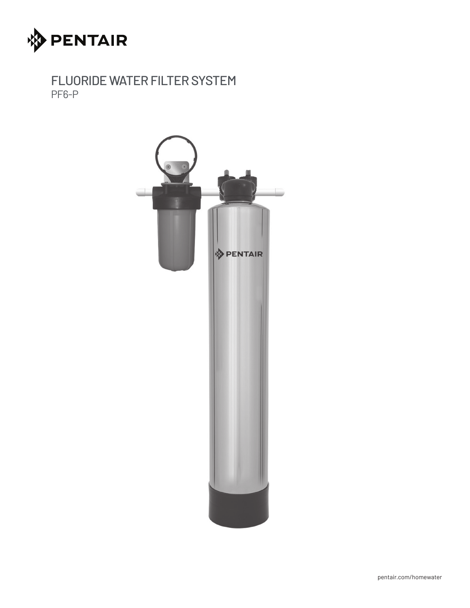

FLUORIDE WATER FILTER SYSTEM PF6-P

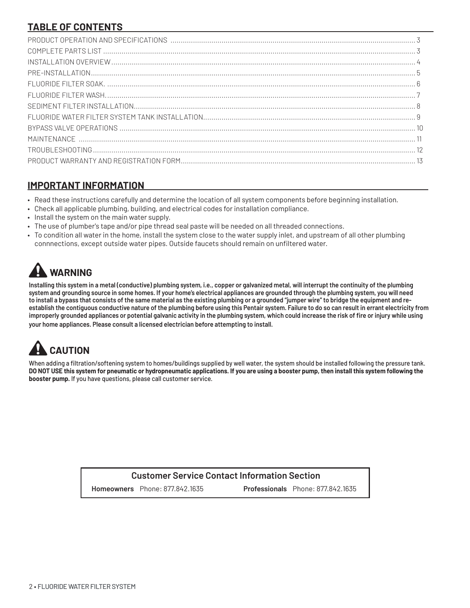## **TABLE OF CONTENTS**

## **IMPORTANT INFORMATION**

- Read these instructions carefully and determine the location of all system components before beginning installation.
- Check all applicable plumbing, building, and electrical codes for installation compliance.
- Install the system on the main water supply.
- The use of plumber's tape and/or pipe thread seal paste will be needed on all threaded connections.
- To condition all water in the home, install the system close to the water supply inlet, and upstream of all other plumbing connnections, except outside water pipes. Outside faucets should remain on unfiltered water.

# **WARNING**

**Installing this system in a metal (conductive) plumbing system, i.e., copper or galvanized metal, will interrupt the continuity of the plumbing system and grounding source in some homes. If your home's electrical appliances are grounded through the plumbing system, you will need to install a bypass that consists of the same material as the existing plumbing or a grounded "jumper wire" to bridge the equipment and reestablish the contiguous conductive nature of the plumbing before using this Pentair system. Failure to do so can result in errant electricity from improperly grounded appliances or potential galvanic activity in the plumbing system, which could increase the risk of fire or injury while using your home appliances. Please consult a licensed electrician before attempting to install.**

# **CAUTION**

When adding a filtration/softening system to homes/buildings supplied by well water, the system should be installed following the pressure tank. **DO NOT USE this system for pneumatic or hydropneumatic applications. If you are using a booster pump, then install this system following the booster pump.** If you have questions, please call customer service.

### **Customer Service Contact Information Section**

j

**Homeowners** Phone: 877.842.1635

**Professionals** Phone: 877.842.1635

j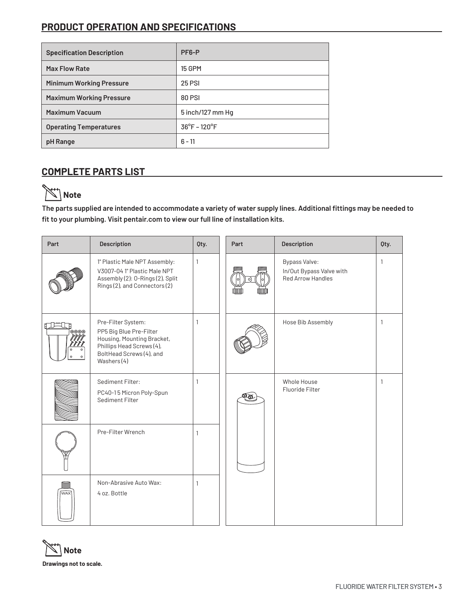## **PRODUCT OPERATION AND SPECIFICATIONS PRODUCT OPERATION AND SPECIFICATIONS**

| <b>Specification Description</b> | PF6-P                             |
|----------------------------------|-----------------------------------|
| <b>Max Flow Rate</b>             | 15 GPM                            |
| <b>Minimum Working Pressure</b>  | <b>25 PSI</b>                     |
| <b>Maximum Working Pressure</b>  | 80 PSI                            |
| <b>Maximum Vacuum</b>            | 5 inch/127 mm Hg                  |
| <b>Operating Temperatures</b>    | $36^{\circ}$ F – 120 $^{\circ}$ F |
| pH Range                         | $6 - 11$                          |

## The WATERSOFTENER ALTERNATIVE WITH NATURSOFT® SALT-FREE TECHNOLOGY will be effective on water supplies with a maximum **COMPLETE PARTS LIST**



**The parts supplied are intended to accommodate a variety of water supply lines. Additional fittings may be needed to fit to your plumbing. Visit pentair.com to view our full line of installation kits.**

| Part       | Description                                                                                                                                         | Oty.         | Part | Description                                                           | Oty. |
|------------|-----------------------------------------------------------------------------------------------------------------------------------------------------|--------------|------|-----------------------------------------------------------------------|------|
|            | 1" Plastic Male NPT Assembly:<br>V3007-04 1" Plastic Male NPT<br>Assembly (2): O-Rings (2), Split<br>Rings (2), and Connectors (2)                  | $\mathbf{1}$ | റ്   | <b>Bypass Valve:</b><br>In/Out Bypass Valve with<br>Red Arrow Handles |      |
| п.<br>0000 | Pre-Filter System:<br>PP5 Big Blue Pre-Filter<br>Housing, Mounting Bracket,<br>Phillips Head Screws (4),<br>BoltHead Screws (4), and<br>Washers (4) | 1            |      | Hose Bib Assembly                                                     |      |
|            | Sediment Filter:<br>PC40-15 Micron Poly-Spun<br>Sediment Filter                                                                                     | $\mathbf{1}$ | hØ   | Whole House<br>Fluoride Filter                                        |      |
|            | Pre-Filter Wrench                                                                                                                                   | $\mathbf{1}$ |      |                                                                       |      |
| <b>WAX</b> | Non-Abrasive Auto Wax:<br>4 oz. Bottle                                                                                                              | 1            |      |                                                                       |      |

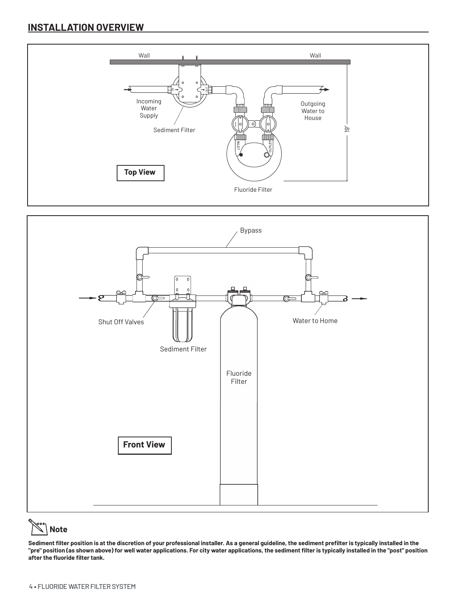## **INSTALLATION OVERVIEW**







**Sediment filter position is at the discretion of your professional installer. As a general guideline, the sediment prefilter is typically installed in the "pre" position (as shown above) for well water applications. For city water applications, the sediment filter is typically installed in the "post" position after the fluoride filter tank.**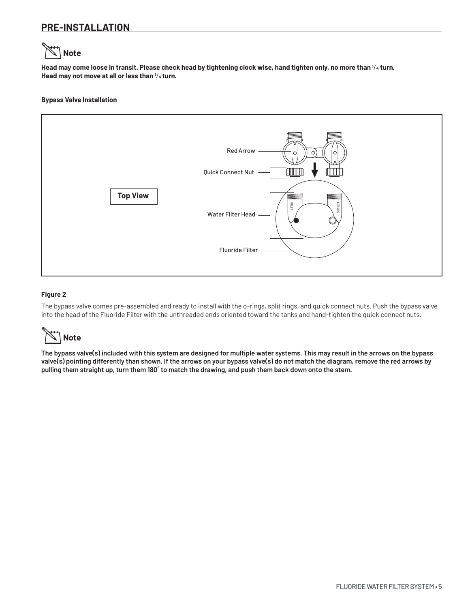

**Head may come loose in transit. Please check head by tightening clock wise, hand tighten only, no more than <sup>1</sup>** /**4 turn. Head may not move at all or less than 1** /**4 turn.**

**Bypass Valve Installation**



### **Figure 2**

The bypass valve comes pre-assembled and ready to install with the o-rings, split rings, and quick connect nuts. Push the bypass valve into the head of the Fluoride Filter with the unthreaded ends oriented toward the tanks and hand-tighten the quick connect nuts.



**The bypass valve(s) included with this system are designed for multiple water systems. This may result in the arrows on the bypass valve(s) pointing differently than shown. If the arrows on your bypass valve(s) do not match the diagram, remove the red arrows by pulling them straight up, turn them 180˚ to match the drawing, and push them back down onto the stem.**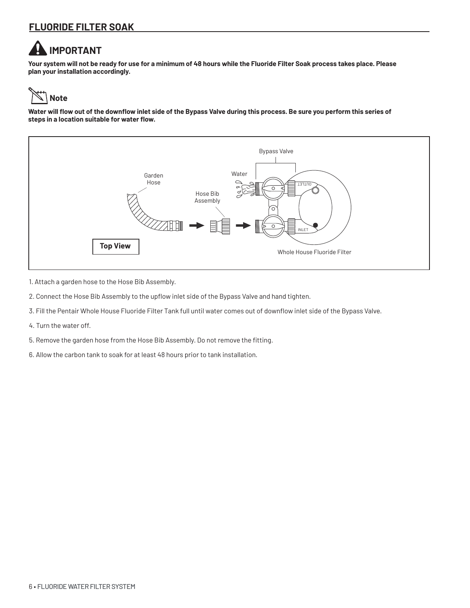# **IMPORTANT**

**Your system will not be ready for use for a minimum of 48 hours while the Fluoride Filter Soak process takes place. Please plan your installation accordingly.**



**Water will flow out of the downflow inlet side of the Bypass Valve during this process. Be sure you perform this series of steps in a location suitable for water flow.**



- 1. Attach a garden hose to the Hose Bib Assembly.
- 2. Connect the Hose Bib Assembly to the upflow inlet side of the Bypass Valve and hand tighten.
- 3. Fill the Pentair Whole House Fluoride Filter Tank full until water comes out of downflow inlet side of the Bypass Valve.
- 4. Turn the water off.
- 5. Remove the garden hose from the Hose Bib Assembly. Do not remove the fitting.
- 6. Allow the carbon tank to soak for at least 48 hours prior to tank installation.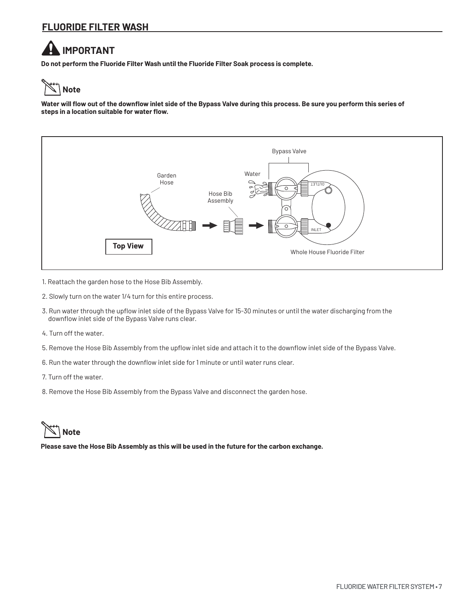# **IMPORTANT**

**Do not perform the Fluoride Filter Wash until the Fluoride Filter Soak process is complete.**



**Water will flow out of the downflow inlet side of the Bypass Valve during this process. Be sure you perform this series of steps in a location suitable for water flow.**



- 1. Reattach the garden hose to the Hose Bib Assembly.
- 2. Slowly turn on the water 1/4 turn for this entire process.
- 3. Run water through the upflow inlet side of the Bypass Valve for 15-30 minutes or until the water discharging from the downflow inlet side of the Bypass Valve runs clear.
- 4. Turn off the water.
- 5. Remove the Hose Bib Assembly from the upflow inlet side and attach it to the downflow inlet side of the Bypass Valve.
- 6. Run the water through the downflow inlet side for 1 minute or until water runs clear.
- 7. Turn off the water.
- 8. Remove the Hose Bib Assembly from the Bypass Valve and disconnect the garden hose.



**Please save the Hose Bib Assembly as this will be used in the future for the carbon exchange.**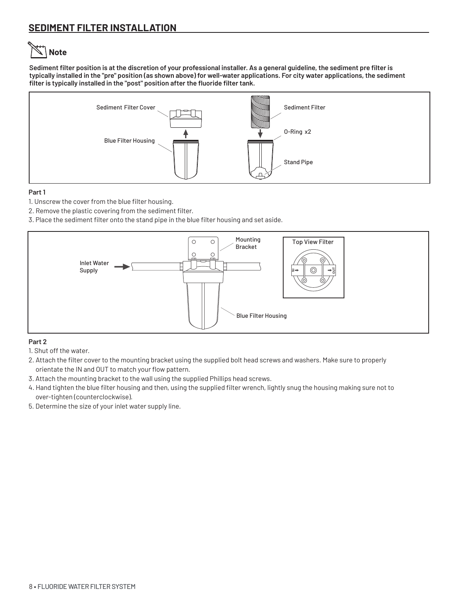## **SEDIMENT FILTER INSTALLATION**

# **Note**

**Sediment filter position is at the discretion of your professional installer. As a general guideline, the sediment pre filter is typically installed in the "pre" position (as shown above) for well-water applications. For city water applications, the sediment filter is typically installed in the "post" position after the fluoride filter tank.**



### **Part 1**

- 1. Unscrew the cover from the blue filter housing.
- 2. Remove the plastic covering from the sediment filter.

3. Place the sediment filter onto the stand pipe in the blue filter housing and set aside.



### **Part 2**

- 1. Shut off the water.
- 2. Attach the filter cover to the mounting bracket using the supplied bolt head screws and washers. Make sure to properly orientate the IN and OUT to match your flow pattern.
- 3. Attach the mounting bracket to the wall using the supplied Phillips head screws.
- 4. Hand tighten the blue filter housing and then, using the supplied filter wrench, lightly snug the housing making sure not to over-tighten (counterclockwise).
- 5. Determine the size of your inlet water supply line.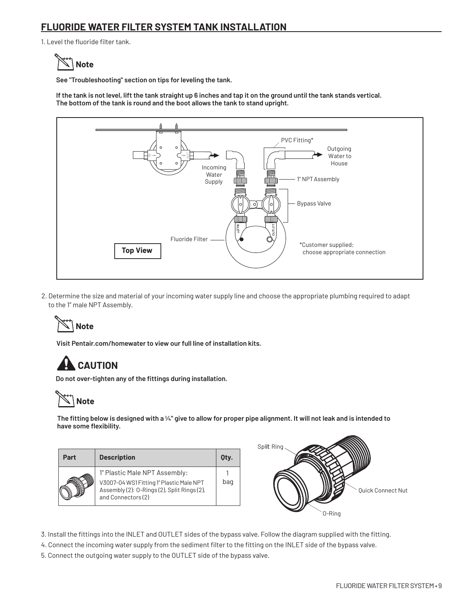1. Level the fluoride filter tank.



**See "Troubleshooting" section on tips for leveling the tank.** 

**If the tank is not level, lift the tank straight up 6 inches and tap it on the ground until the tank stands vertical. The bottom of the tank is round and the boot allows the tank to stand upright.**



2. Determine the size and material of your incoming water supply line and choose the appropriate plumbing required to adapt to the 1" male NPT Assembly.



**Visit Pentair.com/homewater to view our full line of installation kits.**

## **CAUTION**

Do not over-tighten any of the fittings during installation.



The fitting below is designed with a ¼" give to allow for proper pipe alignment. It will not leak and is intended to<br>have asme flavibility **have some flexibility.**

| Part | <b>Description</b>                                                                                                                            | Otv. |
|------|-----------------------------------------------------------------------------------------------------------------------------------------------|------|
|      | 1" Plastic Male NPT Assembly:<br>V3007-04 WS1 Fitting 1" Plastic Male NPT<br>Assembly (2): 0-Rings (2), Split Rings (2),<br>and Connectors(2) | bag  |



3. Install the fittings into the INLET and OUTLET sides of the bypass valve. Follow the diagram supplied with the fitting.

- 4. Connect the incoming water supply from the sediment filter to the fitting on the INLET side of the bypass valve.
- 5. Connect the outgoing water supply to the OUTLET side of the bypass valve.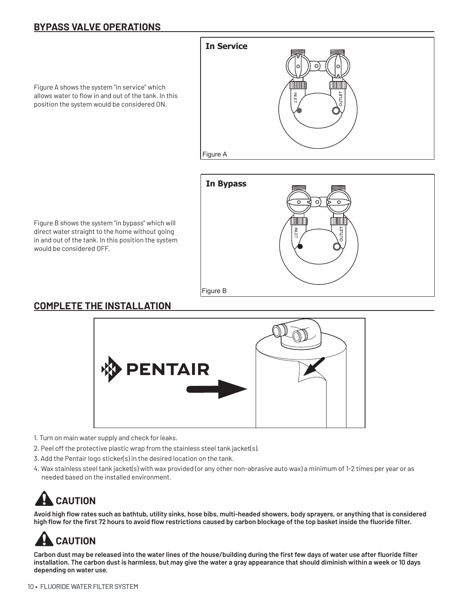## **BYPASS VALVE OPERATIONS**

Figure A shows the system "in service" which allows water to flow in and out of the tank. In this position the system would be considered ON.





Figure B shows the system "in bypass" which will direct water straight to the home without going in and out of the tank. In this position the system would be considered OFF.

## **COMPLETE THE INSTALLATION**



- 1. Turn on main water supply and check for leaks.
- 2. Peel off the protective plastic wrap from the stainless steel tank jacket(s).
- 3. Add the Pentair logo sticker(s) in the desired location on the tank.
- 4. Wax stainless steel tank jacket(s) with wax provided (or any other non-abrasive auto wax) a minimum of 1-2 times per year or as needed based on the installed environment.

# **CAUTION**

**Avoid high flow rates such as bathtub, utility sinks, hose bibs, multi-headed showers, body sprayers, or anything that is considered high flow for the first 72 hours to avoid flow restrictions caused by carbon blockage of the top basket inside the fluoride filter.**

# **CAUTION**

**Carbon dust may be released into the water lines of the house/building during the first few days of water use after fluoride filter installation. The carbon dust is harmless, but may give the water a gray appearance that should diminish within a week or 10 days depending on water use.**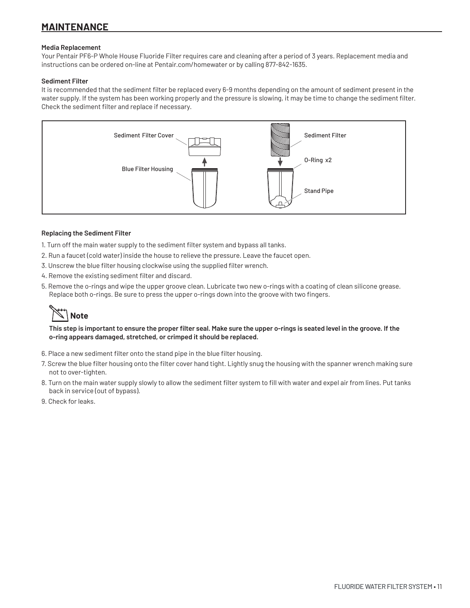### **MAINTENANCE**

### **Media Replacement**

Your Pentair PF6-P Whole House Fluoride Filter requires care and cleaning after a period of 3 years. Replacement media and instructions can be ordered on-line at Pentair.com/homewater or by calling 877-842-1635.

#### **Sediment Filter**

It is recommended that the sediment filter be replaced every 6-9 months depending on the amount of sediment present in the water supply. If the system has been working properly and the pressure is slowing, it may be time to change the sediment filter. Check the sediment filter and replace if necessary.



#### **Replacing the Sediment Filter**

- 1. Turn off the main water supply to the sediment filter system and bypass all tanks.
- 2. Run a faucet (cold water) inside the house to relieve the pressure. Leave the faucet open.
- 3. Unscrew the blue filter housing clockwise using the supplied filter wrench.
- 4. Remove the existing sediment filter and discard.
- 5. Remove the o-rings and wipe the upper groove clean. Lubricate two new o-rings with a coating of clean silicone grease. Replace both o-rings. Be sure to press the upper o-rings down into the groove with two fingers.

# **Note**

**This step is important to ensure the proper filter seal. Make sure the upper o-rings is seated level in the groove. If the o-ring appears damaged, stretched, or crimped it should be replaced.**

- 6. Place a new sediment filter onto the stand pipe in the blue filter housing.
- 7. Screw the blue filter housing onto the filter cover hand tight. Lightly snug the housing with the spanner wrench making sure not to over-tighten.
- 8. Turn on the main water supply slowly to allow the sediment filter system to fill with water and expel air from lines. Put tanks back in service (out of bypass).
- 9. Check for leaks.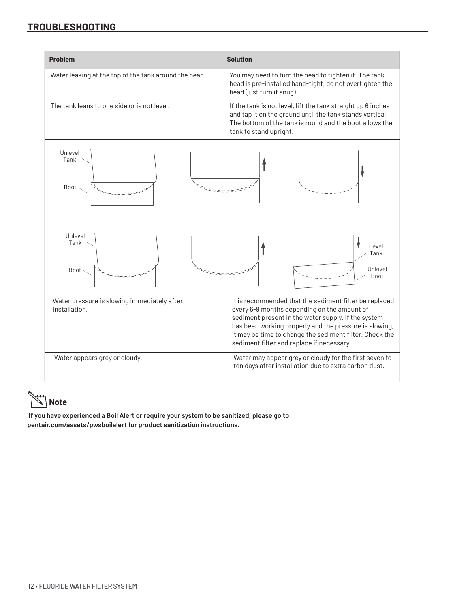## **TROUBLESHOOTING**



**Note**

 **If you have experienced a Boil Alert or require your system to be sanitized, please go to pentair.com/assets/pwsboilalert for product sanitization instructions.**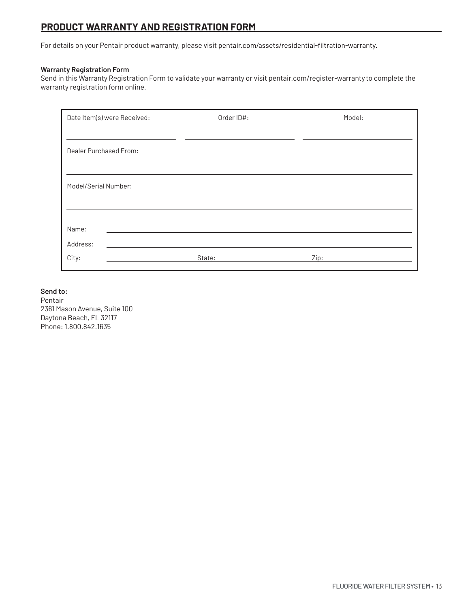## **PPRODUCT WARRANTY AND REGISTRATION FORM RODUCT WARRANTY AND REGISTRATION FORM**

For details on your Pentair product warranty, please visit pentair.com/assets/residential-filtration-warranty.

### **Warranty Registration Form**

Send in this Warranty Registration Form to validate your warranty or visit pentair.com/register-warranty to complete the warranty registration form online.

| Date Item(s) were Received: | Order ID#: | Model: |  |  |  |
|-----------------------------|------------|--------|--|--|--|
|                             |            |        |  |  |  |
| Dealer Purchased From:      |            |        |  |  |  |
|                             |            |        |  |  |  |
| Model/Serial Number:        |            |        |  |  |  |
|                             |            |        |  |  |  |
| Name:                       |            |        |  |  |  |
| Address:                    |            |        |  |  |  |
| City:                       | State:     | Zip:   |  |  |  |

### **Send to:**

Pentair 2361 Mason Avenue, Suite 100 Daytona Beach, FL 32117 Phone: 1.800.842.1635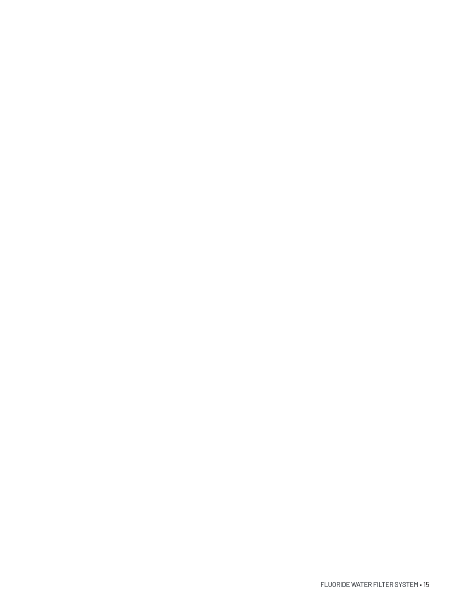FLUORIDE WATER FILTER SYSTEM • 15